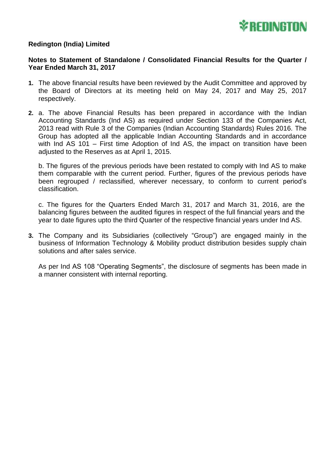

## **Redington (India) Limited**

#### **Notes to Statement of Standalone / Consolidated Financial Results for the Quarter / Year Ended March 31, 2017**

- **1.** The above financial results have been reviewed by the Audit Committee and approved by the Board of Directors at its meeting held on May 24, 2017 and May 25, 2017 respectively.
- **2.** a. The above Financial Results has been prepared in accordance with the Indian Accounting Standards (Ind AS) as required under Section 133 of the Companies Act, 2013 read with Rule 3 of the Companies (Indian Accounting Standards) Rules 2016. The Group has adopted all the applicable Indian Accounting Standards and in accordance with Ind AS 101 – First time Adoption of Ind AS, the impact on transition have been adjusted to the Reserves as at April 1, 2015.

b. The figures of the previous periods have been restated to comply with Ind AS to make them comparable with the current period. Further, figures of the previous periods have been regrouped / reclassified, wherever necessary, to conform to current period's classification.

c. The figures for the Quarters Ended March 31, 2017 and March 31, 2016, are the balancing figures between the audited figures in respect of the full financial years and the year to date figures upto the third Quarter of the respective financial years under Ind AS.

**3.** The Company and its Subsidiaries (collectively "Group") are engaged mainly in the business of Information Technology & Mobility product distribution besides supply chain solutions and after sales service.

As per Ind AS 108 "Operating Segments", the disclosure of segments has been made in a manner consistent with internal reporting.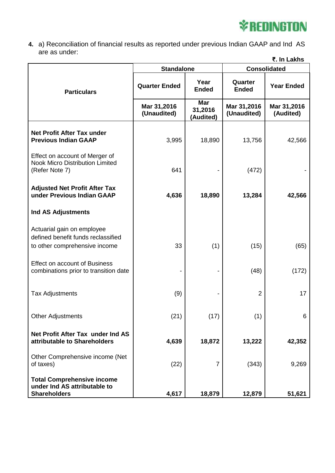# **\*REDINGTON**

**4.** a) Reconciliation of financial results as reported under previous Indian GAAP and Ind AS are as under:

| ₹. In Lakhs                                                                                       |                            |                                    |                            |                          |  |  |  |
|---------------------------------------------------------------------------------------------------|----------------------------|------------------------------------|----------------------------|--------------------------|--|--|--|
|                                                                                                   | <b>Standalone</b>          |                                    | <b>Consolidated</b>        |                          |  |  |  |
| <b>Particulars</b>                                                                                | <b>Quarter Ended</b>       | Year<br><b>Ended</b>               | Quarter<br><b>Ended</b>    | <b>Year Ended</b>        |  |  |  |
|                                                                                                   | Mar 31,2016<br>(Unaudited) | <b>Mar</b><br>31,2016<br>(Audited) | Mar 31,2016<br>(Unaudited) | Mar 31,2016<br>(Audited) |  |  |  |
| <b>Net Profit After Tax under</b><br><b>Previous Indian GAAP</b>                                  | 3,995                      | 18,890                             | 13,756                     | 42,566                   |  |  |  |
| Effect on account of Merger of<br><b>Nook Micro Distribution Limited</b><br>(Refer Note 7)        | 641                        |                                    | (472)                      |                          |  |  |  |
| <b>Adjusted Net Profit After Tax</b><br>under Previous Indian GAAP                                | 4,636                      | 18,890                             | 13,284                     | 42,566                   |  |  |  |
| <b>Ind AS Adjustments</b>                                                                         |                            |                                    |                            |                          |  |  |  |
| Actuarial gain on employee<br>defined benefit funds reclassified<br>to other comprehensive income | 33                         | (1)                                | (15)                       | (65)                     |  |  |  |
| <b>Effect on account of Business</b><br>combinations prior to transition date                     |                            |                                    | (48)                       | (172)                    |  |  |  |
| <b>Tax Adjustments</b>                                                                            | (9)                        |                                    | $\overline{2}$             | 17                       |  |  |  |
| <b>Other Adjustments</b>                                                                          | (21)                       | (17)                               | (1)                        | 6                        |  |  |  |
| Net Profit After Tax under Ind AS<br>attributable to Shareholders                                 | 4,639                      | 18,872                             | 13,222                     | 42,352                   |  |  |  |
| Other Comprehensive income (Net<br>of taxes)                                                      | (22)                       | 7                                  | (343)                      | 9,269                    |  |  |  |
| <b>Total Comprehensive income</b><br>under Ind AS attributable to<br><b>Shareholders</b>          | 4,617                      | 18,879                             | 12,879                     | 51,621                   |  |  |  |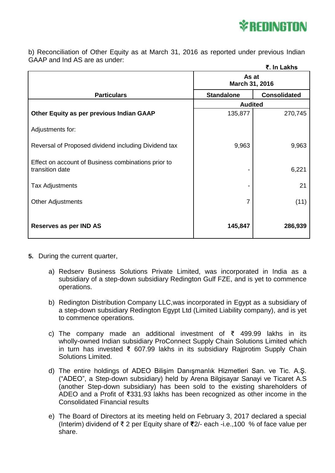

b) Reconciliation of Other Equity as at March 31, 2016 as reported under previous Indian GAAP and Ind AS are as under:

|                                                                        |                         | ₹. In Lakhs         |  |
|------------------------------------------------------------------------|-------------------------|---------------------|--|
|                                                                        | As at<br>March 31, 2016 |                     |  |
| <b>Particulars</b>                                                     | <b>Standalone</b>       | <b>Consolidated</b> |  |
|                                                                        | <b>Audited</b>          |                     |  |
| Other Equity as per previous Indian GAAP                               | 135,877                 | 270,745             |  |
| Adjustments for:                                                       |                         |                     |  |
| Reversal of Proposed dividend including Dividend tax                   | 9,963                   | 9,963               |  |
| Effect on account of Business combinations prior to<br>transition date |                         | 6,221               |  |
| <b>Tax Adjustments</b>                                                 |                         | 21                  |  |
| <b>Other Adjustments</b>                                               | 7                       | (11)                |  |
| Reserves as per IND AS                                                 | 145,847                 | 286,939             |  |

- **5.** During the current quarter,
	- a) Redserv Business Solutions Private Limited, was incorporated in India as a subsidiary of a step-down subsidiary Redington Gulf FZE, and is yet to commence operations.
	- b) Redington Distribution Company LLC,was incorporated in Egypt as a subsidiary of a step-down subsidiary Redington Egypt Ltd (Limited Liability company), and is yet to commence operations.
	- c) The company made an additional investment of  $\bar{z}$  499.99 lakhs in its wholly-owned Indian subsidiary ProConnect Supply Chain Solutions Limited which in turn has invested ₹ 607.99 lakhs in its subsidiary Rajprotim Supply Chain Solutions Limited.
	- d) The entire holdings of ADEO Bilişim Danışmanlık Hizmetleri San. ve Tic. A.Ş. ("ADEO", a Step-down subsidiary) held by Arena Bilgisayar Sanayi ve Ticaret A.S (another Step-down subsidiary) has been sold to the existing shareholders of ADEO and a Profit of ₹331.93 lakhs has been recognized as other income in the Consolidated Financial results
	- e) The Board of Directors at its meeting held on February 3, 2017 declared a special (Interim) dividend of ₹ 2 per Equity share of **₹**2/- each -i.e.,100 % of face value per share.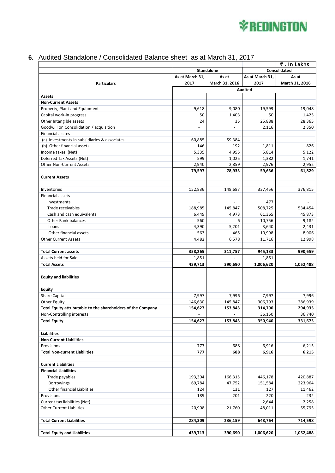

## **6.** Audited Standalone / Consolidated Balance sheet as at March 31, 2017

|                                                              |                          |                          | ₹. In Lakhs     |                |
|--------------------------------------------------------------|--------------------------|--------------------------|-----------------|----------------|
|                                                              | <b>Standalone</b>        |                          | Consolidated    |                |
|                                                              | As at March 31,          | As at                    | As at March 31, | As at          |
| <b>Particulars</b>                                           | 2017                     | March 31, 2016           | 2017            | March 31, 2016 |
|                                                              |                          | <b>Audited</b>           |                 |                |
| <b>Assets</b>                                                |                          |                          |                 |                |
| <b>Non-Current Assets</b>                                    |                          |                          |                 |                |
| Property, Plant and Equipment                                | 9,618                    | 9,080                    | 19,599          | 19,048         |
| Capital work-in progress                                     | 50                       | 1,403                    | 50              | 1,425          |
| Other Intangible assets                                      | 24                       | 35                       | 25,888          | 28,365         |
| Goodwill on Consolidation / acquisition                      | $\overline{a}$           | $\overline{\phantom{a}}$ | 2,116           | 2,350          |
| Financial asstes                                             |                          |                          |                 |                |
| (a) Investments in subsidiaries & associates                 | 60,885                   | 59,384                   |                 |                |
| (b) Other financial assets                                   | 146                      | 192                      | 1,811           | 826            |
| Income taxes (Net)                                           | 5,335                    | 4,955                    | 5,814           | 5,122          |
| Deferred Tax Assets (Net)                                    | 599                      | 1,025                    | 1,382           | 1,741          |
| <b>Other Non-Current Assets</b>                              | 2,940                    | 2,859                    | 2,976           | 2,952          |
| <b>Current Assets</b>                                        | 79,597                   | 78,933                   | 59,636          | 61,829         |
|                                                              |                          |                          |                 |                |
| Inventories                                                  | 152,836                  | 148,687                  | 337,456         | 376,815        |
| <b>Financial assets</b>                                      |                          |                          |                 |                |
| Investments                                                  | $\overline{a}$           | $\overline{a}$           | 477             | $\overline{a}$ |
| Trade receivables                                            | 188,985                  | 145,847                  | 508,725         | 534,454        |
| Cash and cash equivalents                                    | 6,449                    | 4,973                    | 61,365          | 45,873         |
| Other Bank balances                                          | 560                      | 6                        | 10,756          | 9,182          |
| Loans                                                        | 4,390                    | 5,201                    | 3,640           | 2,431          |
| Other financial assets                                       | 563                      | 465                      | 10,998          | 8,906          |
| <b>Other Current Assets</b>                                  | 4,482                    | 6,578                    | 11,716          | 12,998         |
| <b>Total Current assets</b>                                  | 358,265                  | 311,757                  | 945,133         | 990,659        |
| Assets held for Sale                                         | 1,851                    |                          | 1,851           |                |
| <b>Total Assets</b>                                          | 439,713                  | 390,690                  | 1,006,620       | 1,052,488      |
| <b>Equity and liabilities</b>                                |                          |                          |                 |                |
|                                                              |                          |                          |                 |                |
| <b>Equity</b>                                                |                          |                          |                 |                |
| Share Capital                                                | 7,997                    | 7,996                    | 7,997           | 7,996          |
| Other Equity                                                 | 146,630                  | 145,847                  | 306,793         | 286,939        |
| Total Equity attributable to the shareholders of the Company | 154,627                  | 153,843                  | 314,790         | 294,935        |
| Non-Controlling interests                                    | $\overline{\phantom{a}}$ | $\overline{a}$           | 36,150          | 36,740         |
| <b>Total Equity</b>                                          | 154,627                  | 153,843                  | 350,940         | 331,675        |
| <b>Liabilities</b>                                           |                          |                          |                 |                |
| <b>Non-Current Liabilities</b>                               |                          |                          |                 |                |
| Provisions                                                   | 777                      | 688                      | 6,916           | 6,215          |
| <b>Total Non-current Liabilities</b>                         | 777                      | 688                      | 6,916           | 6,215          |
| <b>Current Liabilities</b>                                   |                          |                          |                 |                |
| <b>Financial Liabilities</b>                                 |                          |                          |                 |                |
| Trade payables                                               | 193,304                  | 166,315                  | 446,178         | 420,887        |
| Borrowings                                                   | 69,784                   | 47,752                   | 151,584         | 223,964        |
| Other financial Liablities                                   | 124                      | 131                      | 127             | 11,462         |
| Provisions                                                   | 189                      | 201                      | 220             | 232            |
| Current tax liabilities (Net)                                | $\overline{\phantom{a}}$ | $\overline{a}$           | 2,644           | 2,258          |
| <b>Other Current Liablities</b>                              | 20,908                   | 21,760                   | 48,011          | 55,795         |
|                                                              |                          |                          |                 |                |
| <b>Total Current Liabilities</b>                             | 284,309                  | 236,159                  | 648,764         | 714,598        |
| <b>Total Equity and Liabilities</b>                          | 439,713                  | 390,690                  | 1,006,620       | 1,052,488      |